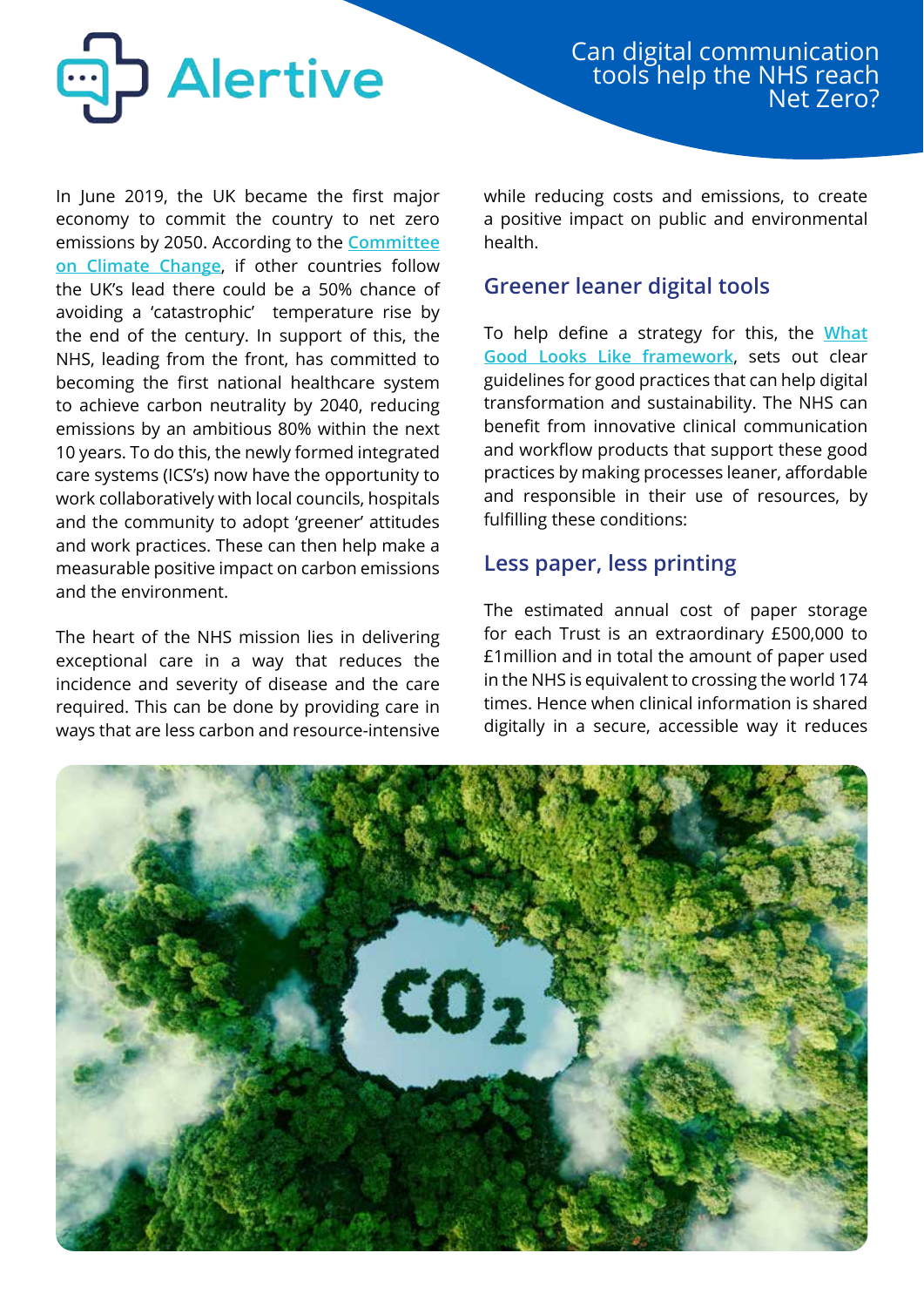

In June 2019, the UK became the first major economy to commit the country to net zero emissions by 2050. According to the **[Committee](https://www.theccc.org.uk/wp-content/uploads/2019/05/Net-Zero-The-UKs-contribution-to-stopping-global-warming.pdf) [on Climate Change](https://www.theccc.org.uk/wp-content/uploads/2019/05/Net-Zero-The-UKs-contribution-to-stopping-global-warming.pdf)**, if other countries follow the UK's lead there could be a 50% chance of avoiding a 'catastrophic' temperature rise by the end of the century. In support of this, the NHS, leading from the front, has committed to becoming the first national healthcare system to achieve carbon neutrality by 2040, reducing emissions by an ambitious 80% within the next 10 years. To do this, the newly formed integrated care systems (ICS's) now have the opportunity to work collaboratively with local councils, hospitals and the community to adopt 'greener' attitudes and work practices. These can then help make a measurable positive impact on carbon emissions and the environment.

The heart of the NHS mission lies in delivering exceptional care in a way that reduces the incidence and severity of disease and the care required. This can be done by providing care in ways that are less carbon and resource-intensive while reducing costs and emissions, to create a positive impact on public and environmental health.

### **Greener leaner digital tools**

To help define a strategy for this, the **[What](https://www.nhsx.nhs.uk/digitise-connect-transform/what-good-looks-like/) [Good Looks Like framework](https://www.nhsx.nhs.uk/digitise-connect-transform/what-good-looks-like/)**, sets out clear guidelines for good practices that can help digital transformation and sustainability. The NHS can benefit from innovative clinical communication and workflow products that support these good practices by making processes leaner, affordable and responsible in their use of resources, by fulfilling these conditions:

# **Less paper, less printing**

The estimated annual cost of paper storage for each Trust is an extraordinary £500,000 to £1million and in total the amount of paper used in the NHS is equivalent to crossing the world 174 times. Hence when clinical information is shared digitally in a secure, accessible way it reduces